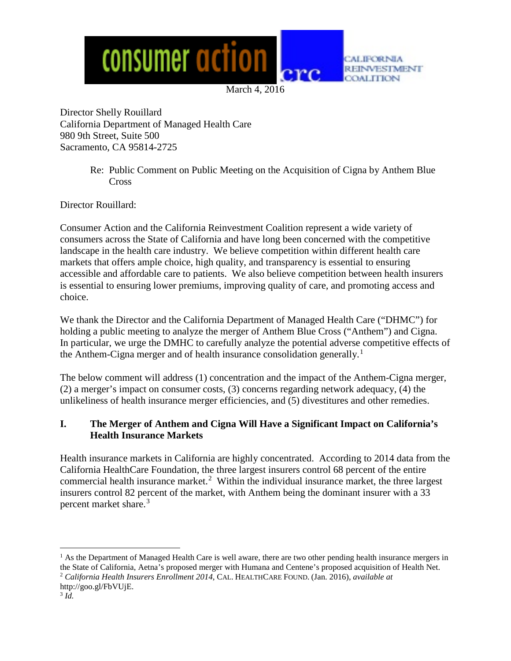

March 4, 2016

Director Shelly Rouillard California Department of Managed Health Care 980 9th Street, Suite 500 Sacramento, CA 95814-2725

> Re: Public Comment on Public Meeting on the Acquisition of Cigna by Anthem Blue Cross

Director Rouillard:

Consumer Action and the California Reinvestment Coalition represent a wide variety of consumers across the State of California and have long been concerned with the competitive landscape in the health care industry. We believe competition within different health care markets that offers ample choice, high quality, and transparency is essential to ensuring accessible and affordable care to patients. We also believe competition between health insurers is essential to ensuring lower premiums, improving quality of care, and promoting access and choice.

We thank the Director and the California Department of Managed Health Care ("DHMC") for holding a public meeting to analyze the merger of Anthem Blue Cross ("Anthem") and Cigna. In particular, we urge the DMHC to carefully analyze the potential adverse competitive effects of the Anthem-Cigna merger and of health insurance consolidation generally.<sup>[1](#page-0-0)</sup>

The below comment will address (1) concentration and the impact of the Anthem-Cigna merger, (2) a merger's impact on consumer costs, (3) concerns regarding network adequacy, (4) the unlikeliness of health insurance merger efficiencies, and (5) divestitures and other remedies.

### **I. The Merger of Anthem and Cigna Will Have a Significant Impact on California's Health Insurance Markets**

Health insurance markets in California are highly concentrated. According to 2014 data from the California HealthCare Foundation, the three largest insurers control 68 percent of the entire commercial health insurance market.<sup>[2](#page-0-1)</sup> Within the individual insurance market, the three largest insurers control 82 percent of the market, with Anthem being the dominant insurer with a 33 percent market share.<sup>[3](#page-0-2)</sup>

<span id="page-0-0"></span> $<sup>1</sup>$  As the Department of Managed Health Care is well aware, there are two other pending health insurance mergers in</sup> the State of California, Aetna's proposed merger with Humana and Centene's proposed acquisition of Health Net. <sup>2</sup> *California Health Insurers Enrollment 2014*, CAL. HEALTHCARE FOUND. (Jan. 2016), *available at*

<span id="page-0-2"></span><span id="page-0-1"></span>http://goo.gl/FbVUjE.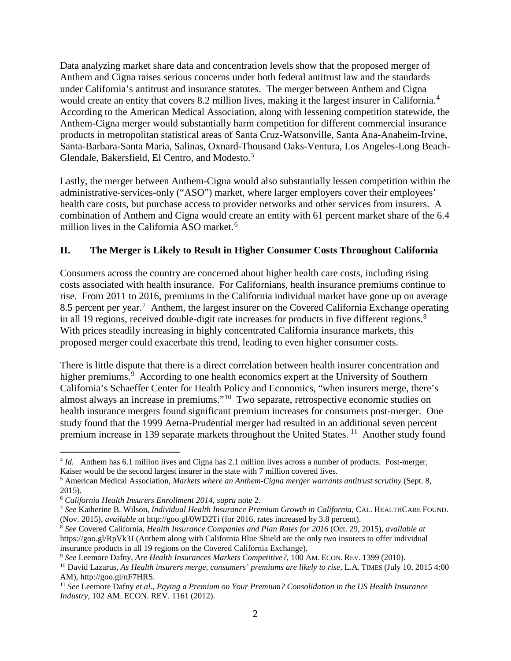Data analyzing market share data and concentration levels show that the proposed merger of Anthem and Cigna raises serious concerns under both federal antitrust law and the standards under California's antitrust and insurance statutes. The merger between Anthem and Cigna would create an entity that covers 8.2 million lives, making it the largest insurer in California.<sup>[4](#page-1-0)</sup> According to the American Medical Association, along with lessening competition statewide, the Anthem-Cigna merger would substantially harm competition for different commercial insurance products in metropolitan statistical areas of Santa Cruz-Watsonville, Santa Ana-Anaheim-Irvine, Santa-Barbara-Santa Maria, Salinas, Oxnard-Thousand Oaks-Ventura, Los Angeles-Long Beach-Glendale, Bakersfield, El Centro, and Modesto.[5](#page-1-1)

Lastly, the merger between Anthem-Cigna would also substantially lessen competition within the administrative-services-only ("ASO") market, where larger employers cover their employees' health care costs, but purchase access to provider networks and other services from insurers. A combination of Anthem and Cigna would create an entity with 61 percent market share of the 6.4 million lives in the California ASO market.<sup>[6](#page-1-2)</sup>

## **II. The Merger is Likely to Result in Higher Consumer Costs Throughout California**

Consumers across the country are concerned about higher health care costs, including rising costs associated with health insurance. For Californians, health insurance premiums continue to rise. From 2011 to 2016, premiums in the California individual market have gone up on average 8.5 percent per year.<sup>[7](#page-1-3)</sup> Anthem, the largest insurer on the Covered California Exchange operating in all 19 regions, received double-digit rate increases for products in five different regions. $8$ With prices steadily increasing in highly concentrated California insurance markets, this proposed merger could exacerbate this trend, leading to even higher consumer costs.

There is little dispute that there is a direct correlation between health insurer concentration and higher premiums.<sup>[9](#page-1-5)</sup> According to one health economics expert at the University of Southern California's Schaeffer Center for Health Policy and Economics, "when insurers merge, there's almost always an increase in premiums."[10](#page-1-6) Two separate, retrospective economic studies on health insurance mergers found significant premium increases for consumers post-merger. One study found that the 1999 Aetna-Prudential merger had resulted in an additional seven percent premium increase in 139 separate markets throughout the United States.<sup>11</sup> Another study found

<span id="page-1-0"></span> <sup>4</sup> *Id.* Anthem has 6.1 million lives and Cigna has 2.1 million lives across a number of products. Post-merger, Kaiser would be the second largest insurer in the state with 7 million covered lives.

<span id="page-1-1"></span><sup>5</sup> American Medical Association, *Markets where an Anthem-Cigna merger warrants antitrust scrutiny* (Sept. 8, 2015).<br><sup>6</sup> California Health Insurers Enrollment 2014, supra note 2.

<span id="page-1-3"></span><span id="page-1-2"></span><sup>6</sup> *California Health Insurers Enrollment 2014*, *supra* note 2. 7 *See* Katherine B. Wilson, *Individual Health Insurance Premium Growth in California*, CAL. HEALTHCARE FOUND. (Nov. 2015), *available at* http://goo.gl/0WD2Ti (for 2016, rates increased by 3.8 percent).

<span id="page-1-4"></span><sup>8</sup> *See* Covered California, *Health Insurance Companies and Plan Rates for 2016* (Oct. 29, 2015), *available at* https://goo.gl/RpVk3J (Anthem along with California Blue Shield are the only two insurers to offer individual

<span id="page-1-5"></span>insurance products in all 19 regions on the Covered California Exchange).<br><sup>9</sup> See Leemore Dafny, Are Health Insurances Markets Competitive?, 100 AM. ECON. REV. 1399 (2010).

<span id="page-1-6"></span> $^{10}$  David Lazarus, As Health insurers merge, consumers' premiums are likely to rise, L.A. TIMES (July 10, 2015 4:00) AM), http://goo.gl/nF7HRS.

<span id="page-1-7"></span><sup>11</sup> *See* Leemore Dafny *et al*., *Paying a Premium on Your Premium? Consolidation in the US Health Insurance Industry,* 102 AM. ECON. REV. 1161 (2012).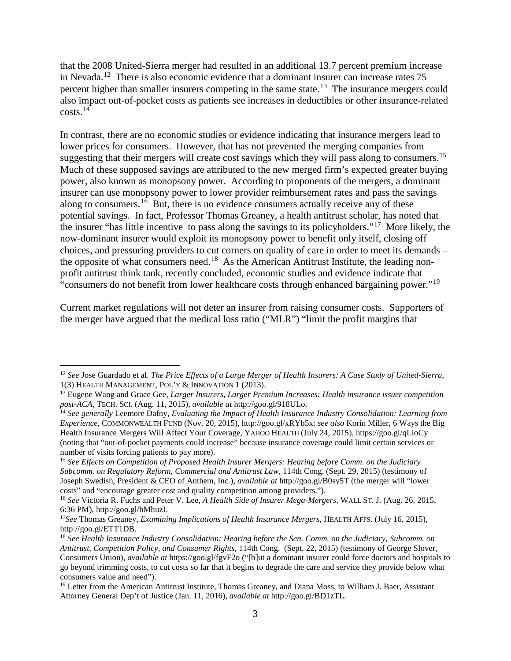that the 2008 United-Sierra merger had resulted in an additional 13.7 percent premium increase in Nevada.<sup>12</sup> There is also economic evidence that a dominant insurer can increase rates  $75$ percent higher than smaller insurers competing in the same state.<sup>13</sup> The insurance mergers could also impact out-of-pocket costs as patients see increases in deductibles or other insurance-related  $costs.<sup>14</sup>$  $costs.<sup>14</sup>$  $costs.<sup>14</sup>$ 

In contrast, there are no economic studies or evidence indicating that insurance mergers lead to lower prices for consumers. However, that has not prevented the merging companies from suggesting that their mergers will create cost savings which they will pass along to consumers.<sup>15</sup> Much of these supposed savings are attributed to the new merged firm's expected greater buying power, also known as monopsony power. According to proponents of the mergers, a dominant insurer can use monopsony power to lower provider reimbursement rates and pass the savings along to consumers.<sup>[16](#page-2-4)</sup> But, there is no evidence consumers actually receive any of these potential savings. In fact, Professor Thomas Greaney, a health antitrust scholar, has noted that the insurer "has little incentive to pass along the savings to its policyholders."[17](#page-2-5) More likely, the now-dominant insurer would exploit its monopsony power to benefit only itself, closing off choices, and pressuring providers to cut corners on quality of care in order to meet its demands – the opposite of what consumers need.<sup>[18](#page-2-6)</sup> As the American Antitrust Institute, the leading nonprofit antitrust think tank, recently concluded, economic studies and evidence indicate that "consumers do not benefit from lower healthcare costs through enhanced bargaining power."[19](#page-2-7)

Current market regulations will not deter an insurer from raising consumer costs. Supporters of the merger have argued that the medical loss ratio ("MLR") "limit the profit margins that

<span id="page-2-0"></span> <sup>12</sup> *See* Jose Guardado et al. *The Price Effects of a Large Merger of Health Insurers: A Case Study of United-Sierra,*  1(3) HEALTH MANAGEMENT, POL'Y & INNOVATION 1 (2013).

<span id="page-2-1"></span><sup>13</sup> Eugene Wang and Grace Gee, *Larger Insurers, Larger Premium Increases: Health insurance issuer competition post-ACA*, TECH. SCI. (Aug. 11, 2015), *available at* http://goo.gl/918ULo.

<span id="page-2-2"></span><sup>14</sup> *See generally* Leemore Dafny, *Evaluating the Impact of Health Insurance Industry Consolidation: Learning from Experience*, COMMONWEALTH FUND (Nov. 20, 2015), http://goo.gl/xRYb5x; *see also* Korin Miller, 6 Ways the Big Health Insurance Mergers Will Affect Your Coverage, YAHOO HEALTH (July 24, 2015), https://goo.gl/qLioCy (noting that "out-of-pocket payments could increase" because insurance coverage could limit certain services or number of visits forcing patients to pay more).

<span id="page-2-3"></span><sup>15</sup> *See Effects on Competition of Proposed Health Insurer Mergers: Hearing before Comm. on the Judiciary Subcomm. on Regulatory Reform, Commercial and Antitrust Law*, 114th Cong. (Sept. 29, 2015) (testimony of Joseph Swedish, President & CEO of Anthem, Inc.), *available at* http://goo.gl/B0sy5T (the merger will "lower costs" and "encourage greater cost and quality competition among providers.").

<span id="page-2-4"></span><sup>16</sup> *See* Victoria R. Fuchs and Peter V. Lee, *A Health Side of Insurer Mega-Mergers*, WALL ST. J. (Aug. 26, 2015, 6:36 PM), http://goo.gl/hMhuzI.

<span id="page-2-5"></span><sup>17</sup>*See* Thomas Greaney, *Examining Implications of Health Insurance Mergers*, HEALTH AFFS. (July 16, 2015), http://goo.gl/ETT1DB.

<span id="page-2-6"></span><sup>18</sup> *See Health Insurance Industry Consolidation: Hearing before the Sen. Comm. on the Judiciary, Subcomm. on Antitrust, Competition Policy, and Consumer Rights*, 114th Cong. (Sept. 22, 2015) (testimony of George Slover, Consumers Union), *available at* https://goo.gl/fgvF2o ("[b]ut a dominant insurer could force doctors and hospitals to go beyond trimming costs, to cut costs so far that it begins to degrade the care and service they provide below what consumers value and need").

<span id="page-2-7"></span><sup>&</sup>lt;sup>19</sup> Letter from the American Antitrust Institute, Thomas Greaney, and Diana Moss, to William J. Baer, Assistant Attorney General Dep't of Justice (Jan. 11, 2016), *available at* http://goo.gl/BD1zTL.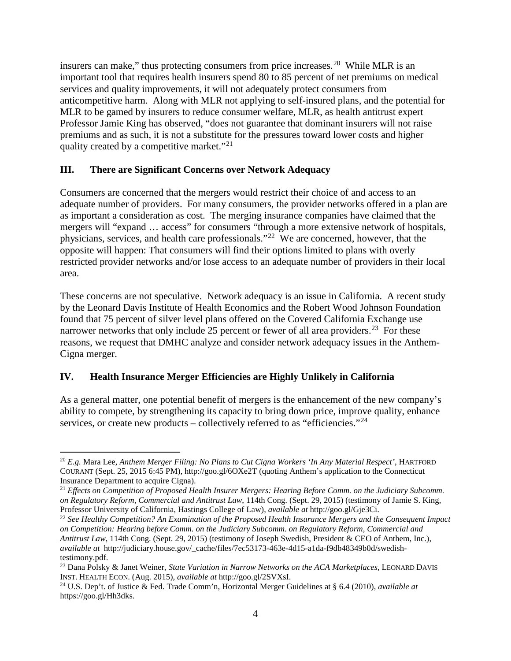insurers can make," thus protecting consumers from price increases.[20](#page-3-0) While MLR is an important tool that requires health insurers spend 80 to 85 percent of net premiums on medical services and quality improvements, it will not adequately protect consumers from anticompetitive harm. Along with MLR not applying to self-insured plans, and the potential for MLR to be gamed by insurers to reduce consumer welfare, MLR, as health antitrust expert Professor Jamie King has observed, "does not guarantee that dominant insurers will not raise premiums and as such, it is not a substitute for the pressures toward lower costs and higher quality created by a competitive market."<sup>[21](#page-3-1)</sup>

#### **III. There are Significant Concerns over Network Adequacy**

Consumers are concerned that the mergers would restrict their choice of and access to an adequate number of providers. For many consumers, the provider networks offered in a plan are as important a consideration as cost. The merging insurance companies have claimed that the mergers will "expand … access" for consumers "through a more extensive network of hospitals, physicians, services, and health care professionals."<sup>[22](#page-3-2)</sup> We are concerned, however, that the opposite will happen: That consumers will find their options limited to plans with overly restricted provider networks and/or lose access to an adequate number of providers in their local area.

These concerns are not speculative. Network adequacy is an issue in California. A recent study by the Leonard Davis Institute of Health Economics and the Robert Wood Johnson Foundation found that 75 percent of silver level plans offered on the Covered California Exchange use narrower networks that only include 25 percent or fewer of all area providers.<sup>23</sup> For these reasons, we request that DMHC analyze and consider network adequacy issues in the Anthem-Cigna merger.

### **IV. Health Insurance Merger Efficiencies are Highly Unlikely in California**

As a general matter, one potential benefit of mergers is the enhancement of the new company's ability to compete, by strengthening its capacity to bring down price, improve quality, enhance services, or create new products – collectively referred to as "efficiencies."<sup>24</sup>

<span id="page-3-0"></span> <sup>20</sup> *E.g.* Mara Lee, *Anthem Merger Filing: No Plans to Cut Cigna Workers 'In Any Material Respect'*, HARTFORD COURANT (Sept. 25, 2015 6:45 PM), http://goo.gl/6OXe2T (quoting Anthem's application to the Connecticut Insurance Department to acquire Cigna).

<span id="page-3-1"></span><sup>&</sup>lt;sup>21</sup> *Effects on Competition of Proposed Health Insurer Mergers: Hearing Before Comm. on the Judiciary Subcomm. on Regulatory Reform, Commercial and Antitrust Law*, 114th Cong. (Sept. 29, 2015) (testimony of Jamie S. King, Professor University of California, Hastings College of Law), *available at* http://goo.gl/Gje3Ci.

<span id="page-3-2"></span><sup>22</sup> *See Healthy Competition? An Examination of the Proposed Health Insurance Mergers and the Consequent Impact on Competition: Hearing before Comm. on the Judiciary Subcomm. on Regulatory Reform, Commercial and Antitrust Law*, 114th Cong. (Sept. 29, 2015) (testimony of Joseph Swedish, President & CEO of Anthem, Inc.), *available at* http://judiciary.house.gov/\_cache/files/7ec53173-463e-4d15-a1da-f9db48349b0d/swedishtestimony.pdf.

<span id="page-3-3"></span><sup>23</sup> Dana Polsky & Janet Weiner, *State Variation in Narrow Networks on the ACA Marketplaces*, LEONARD DAVIS INST. HEALTH ECON. (Aug. 2015), *available at* http://goo.gl/2SVXsI.

<span id="page-3-4"></span><sup>24</sup> U.S. Dep't. of Justice & Fed. Trade Comm'n, Horizontal Merger Guidelines at § 6.4 (2010), *available at*  https://goo.gl/Hh3dks.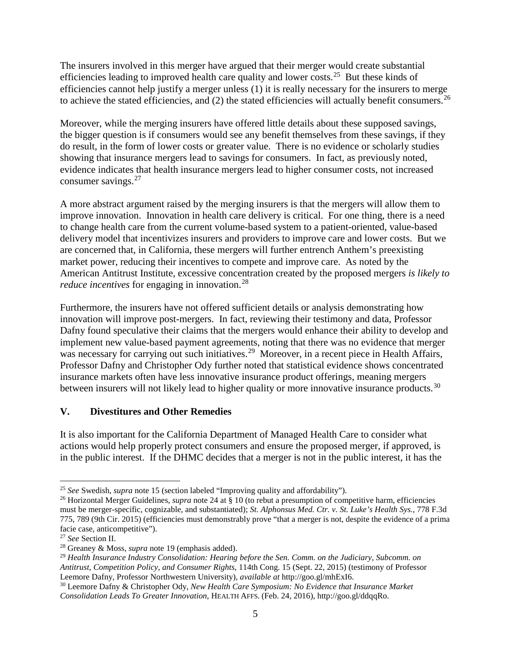The insurers involved in this merger have argued that their merger would create substantial efficiencies leading to improved health care quality and lower costs.<sup>25</sup> But these kinds of efficiencies cannot help justify a merger unless (1) it is really necessary for the insurers to merge to achieve the stated efficiencies, and  $(2)$  the stated efficiencies will actually benefit consumers.<sup>[26](#page-4-1)</sup>

Moreover, while the merging insurers have offered little details about these supposed savings, the bigger question is if consumers would see any benefit themselves from these savings, if they do result, in the form of lower costs or greater value. There is no evidence or scholarly studies showing that insurance mergers lead to savings for consumers. In fact, as previously noted, evidence indicates that health insurance mergers lead to higher consumer costs, not increased consumer savings.<sup>[27](#page-4-2)</sup>

A more abstract argument raised by the merging insurers is that the mergers will allow them to improve innovation. Innovation in health care delivery is critical. For one thing, there is a need to change health care from the current volume-based system to a patient-oriented, value-based delivery model that incentivizes insurers and providers to improve care and lower costs. But we are concerned that, in California, these mergers will further entrench Anthem's preexisting market power, reducing their incentives to compete and improve care. As noted by the American Antitrust Institute, excessive concentration created by the proposed mergers *is likely to reduce incentives* for engaging in innovation.<sup>28</sup>

Furthermore, the insurers have not offered sufficient details or analysis demonstrating how innovation will improve post-mergers. In fact, reviewing their testimony and data, Professor Dafny found speculative their claims that the mergers would enhance their ability to develop and implement new value-based payment agreements, noting that there was no evidence that merger was necessary for carrying out such initiatives.<sup>29</sup> Moreover, in a recent piece in Health Affairs, Professor Dafny and Christopher Ody further noted that statistical evidence shows concentrated insurance markets often have less innovative insurance product offerings, meaning mergers between insurers will not likely lead to higher quality or more innovative insurance products.<sup>[30](#page-4-5)</sup>

### **V. Divestitures and Other Remedies**

It is also important for the California Department of Managed Health Care to consider what actions would help properly protect consumers and ensure the proposed merger, if approved, is in the public interest. If the DHMC decides that a merger is not in the public interest, it has the

<span id="page-4-0"></span> <sup>25</sup> *See* Swedish, *supra* note 15 (section labeled "Improving quality and affordability").

<span id="page-4-1"></span><sup>26</sup> Horizontal Merger Guidelines, *supra* note 24 at § 10 (to rebut a presumption of competitive harm, efficiencies must be merger-specific, cognizable, and substantiated); *St. Alphonsus Med. Ctr. v. St. Luke's Health Sys.*, 778 F.3d 775, 789 (9th Cir. 2015) (efficiencies must demonstrably prove "that a merger is not, despite the evidence of a prima facie case, anticompetitive").<br><sup>27</sup> See Section II.

<span id="page-4-2"></span>

<span id="page-4-3"></span><sup>&</sup>lt;sup>28</sup> Greaney & Moss, *supra* note 19 (emphasis added).

<span id="page-4-4"></span><sup>29</sup> *Health Insurance Industry Consolidation: Hearing before the Sen. Comm. on the Judiciary, Subcomm. on Antitrust, Competition Policy, and Consumer Rights*, 114th Cong. 15 (Sept. 22, 2015) (testimony of Professor Leemore Dafny, Professor Northwestern University), *available at* http://goo.gl/mhExI6. 30 Leemore Dafny & Christopher Ody, *New Health Care Symposium: No Evidence that Insurance Market* 

<span id="page-4-5"></span>*Consolidation Leads To Greater Innovation*, HEALTH AFFS. (Feb. 24, 2016), http://goo.gl/ddqqRo.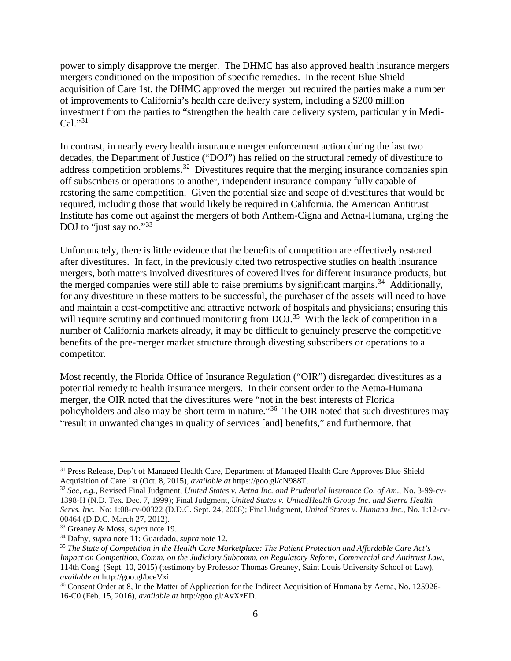power to simply disapprove the merger. The DHMC has also approved health insurance mergers mergers conditioned on the imposition of specific remedies. In the recent Blue Shield acquisition of Care 1st, the DHMC approved the merger but required the parties make a number of improvements to California's health care delivery system, including a \$200 million investment from the parties to "strengthen the health care delivery system, particularly in Medi- $Cal.^{931}$  $Cal.^{931}$  $Cal.^{931}$ 

In contrast, in nearly every health insurance merger enforcement action during the last two decades, the Department of Justice ("DOJ") has relied on the structural remedy of divestiture to address competition problems.<sup>32</sup> Divestitures require that the merging insurance companies spin off subscribers or operations to another, independent insurance company fully capable of restoring the same competition. Given the potential size and scope of divestitures that would be required, including those that would likely be required in California, the American Antitrust Institute has come out against the mergers of both Anthem-Cigna and Aetna-Humana, urging the DOJ to "just say no."<sup>[33](#page-5-2)</sup>

Unfortunately, there is little evidence that the benefits of competition are effectively restored after divestitures. In fact, in the previously cited two retrospective studies on health insurance mergers, both matters involved divestitures of covered lives for different insurance products, but the merged companies were still able to raise premiums by significant margins.<sup>[34](#page-5-3)</sup> Additionally, for any divestiture in these matters to be successful, the purchaser of the assets will need to have and maintain a cost-competitive and attractive network of hospitals and physicians; ensuring this will require scrutiny and continued monitoring from DOJ.<sup>[35](#page-5-4)</sup> With the lack of competition in a number of California markets already, it may be difficult to genuinely preserve the competitive benefits of the pre-merger market structure through divesting subscribers or operations to a competitor.

Most recently, the Florida Office of Insurance Regulation ("OIR") disregarded divestitures as a potential remedy to health insurance mergers. In their consent order to the Aetna-Humana merger, the OIR noted that the divestitures were "not in the best interests of Florida policyholders and also may be short term in nature."[36](#page-5-5) The OIR noted that such divestitures may "result in unwanted changes in quality of services [and] benefits," and furthermore, that

<span id="page-5-0"></span><sup>&</sup>lt;sup>31</sup> Press Release, Dep't of Managed Health Care, Department of Managed Health Care Approves Blue Shield Acquisition of Care 1st (Oct. 8, 2015), *available at* https://goo.gl/cN988T.

<span id="page-5-1"></span><sup>32</sup> *See, e.g.,* Revised Final Judgment, *United States v. Aetna Inc. and Prudential Insurance Co. of Am*., No. 3-99-cv-1398-H (N.D. Tex. Dec. 7, 1999); Final Judgment, *United States v. UnitedHealth Group Inc. and Sierra Health Servs. Inc.*, No: 1:08-cv-00322 (D.D.C. Sept. 24, 2008); Final Judgment, *United States v. Humana Inc.*, No. 1:12-cv-00464 (D.D.C. March 27, 2012).<br><sup>33</sup> Greaney & Moss, *supra* note 19.

<span id="page-5-2"></span>

<span id="page-5-3"></span><sup>&</sup>lt;sup>34</sup> Dafny, *supra* note 11; Guardado, *supra* note 12.

<span id="page-5-4"></span><sup>35</sup> *The State of Competition in the Health Care Marketplace: The Patient Protection and Affordable Care Act's Impact on Competition*, *Comm. on the Judiciary Subcomm. on Regulatory Reform, Commercial and Antitrust Law*, 114th Cong. (Sept. 10, 2015) (testimony by Professor Thomas Greaney, Saint Louis University School of Law), *available at* http://goo.gl/bceVxi.

<span id="page-5-5"></span><sup>&</sup>lt;sup>36</sup> Consent Order at 8, In the Matter of Application for the Indirect Acquisition of Humana by Aetna, No. 125926-16-C0 (Feb. 15, 2016), *available at* http://goo.gl/AvXzED.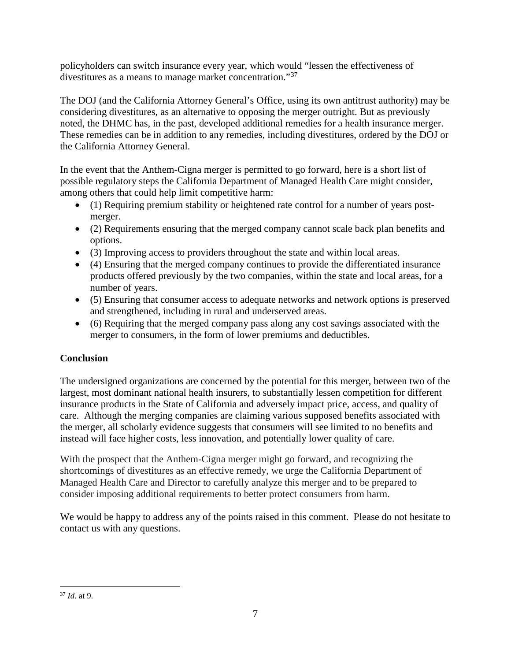policyholders can switch insurance every year, which would "lessen the effectiveness of divestitures as a means to manage market concentration."[37](#page-6-0)

The DOJ (and the California Attorney General's Office, using its own antitrust authority) may be considering divestitures, as an alternative to opposing the merger outright. But as previously noted, the DHMC has, in the past, developed additional remedies for a health insurance merger. These remedies can be in addition to any remedies, including divestitures, ordered by the DOJ or the California Attorney General.

In the event that the Anthem-Cigna merger is permitted to go forward, here is a short list of possible regulatory steps the California Department of Managed Health Care might consider, among others that could help limit competitive harm:

- (1) Requiring premium stability or heightened rate control for a number of years postmerger.
- (2) Requirements ensuring that the merged company cannot scale back plan benefits and options.
- (3) Improving access to providers throughout the state and within local areas.
- (4) Ensuring that the merged company continues to provide the differentiated insurance products offered previously by the two companies, within the state and local areas, for a number of years.
- (5) Ensuring that consumer access to adequate networks and network options is preserved and strengthened, including in rural and underserved areas.
- (6) Requiring that the merged company pass along any cost savings associated with the merger to consumers, in the form of lower premiums and deductibles.

# **Conclusion**

The undersigned organizations are concerned by the potential for this merger, between two of the largest, most dominant national health insurers, to substantially lessen competition for different insurance products in the State of California and adversely impact price, access, and quality of care. Although the merging companies are claiming various supposed benefits associated with the merger, all scholarly evidence suggests that consumers will see limited to no benefits and instead will face higher costs, less innovation, and potentially lower quality of care.

With the prospect that the Anthem-Cigna merger might go forward, and recognizing the shortcomings of divestitures as an effective remedy, we urge the California Department of Managed Health Care and Director to carefully analyze this merger and to be prepared to consider imposing additional requirements to better protect consumers from harm.

We would be happy to address any of the points raised in this comment. Please do not hesitate to contact us with any questions.

<span id="page-6-0"></span> <sup>37</sup> *Id.* at 9.